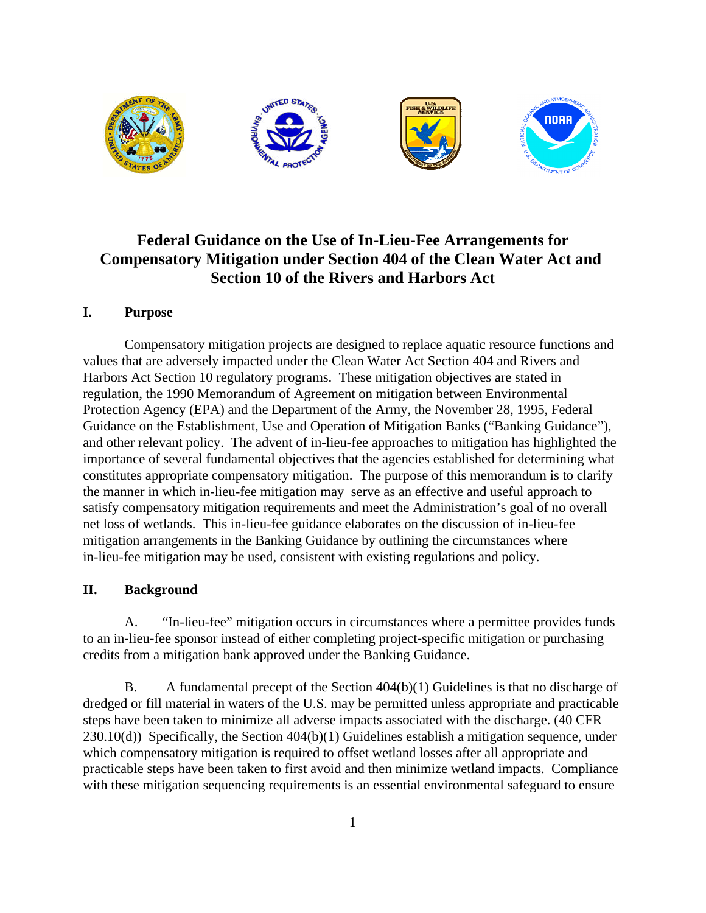

# **Federal Guidance on the Use of In-Lieu-Fee Arrangements for Compensatory Mitigation under Section 404 of the Clean Water Act and Section 10 of the Rivers and Harbors Act**

## **I. Purpose**

Compensatory mitigation projects are designed to replace aquatic resource functions and values that are adversely impacted under the Clean Water Act Section 404 and Rivers and Harbors Act Section 10 regulatory programs. These mitigation objectives are stated in regulation, the 1990 Memorandum of Agreement on mitigation between Environmental Protection Agency (EPA) and the Department of the Army, the November 28, 1995, Federal Guidance on the Establishment, Use and Operation of Mitigation Banks ("Banking Guidance"), and other relevant policy. The advent of in-lieu-fee approaches to mitigation has highlighted the importance of several fundamental objectives that the agencies established for determining what constitutes appropriate compensatory mitigation. The purpose of this memorandum is to clarify the manner in which in-lieu-fee mitigation may serve as an effective and useful approach to satisfy compensatory mitigation requirements and meet the Administration's goal of no overall net loss of wetlands. This in-lieu-fee guidance elaborates on the discussion of in-lieu-fee mitigation arrangements in the Banking Guidance by outlining the circumstances where in-lieu-fee mitigation may be used, consistent with existing regulations and policy.

## **II. Background**

A. "In-lieu-fee" mitigation occurs in circumstances where a permittee provides funds to an in-lieu-fee sponsor instead of either completing project-specific mitigation or purchasing credits from a mitigation bank approved under the Banking Guidance.

B. A fundamental precept of the Section 404(b)(1) Guidelines is that no discharge of dredged or fill material in waters of the U.S. may be permitted unless appropriate and practicable steps have been taken to minimize all adverse impacts associated with the discharge. (40 CFR  $230.10(d)$ ) Specifically, the Section  $404(b)(1)$  Guidelines establish a mitigation sequence, under which compensatory mitigation is required to offset wetland losses after all appropriate and practicable steps have been taken to first avoid and then minimize wetland impacts. Compliance with these mitigation sequencing requirements is an essential environmental safeguard to ensure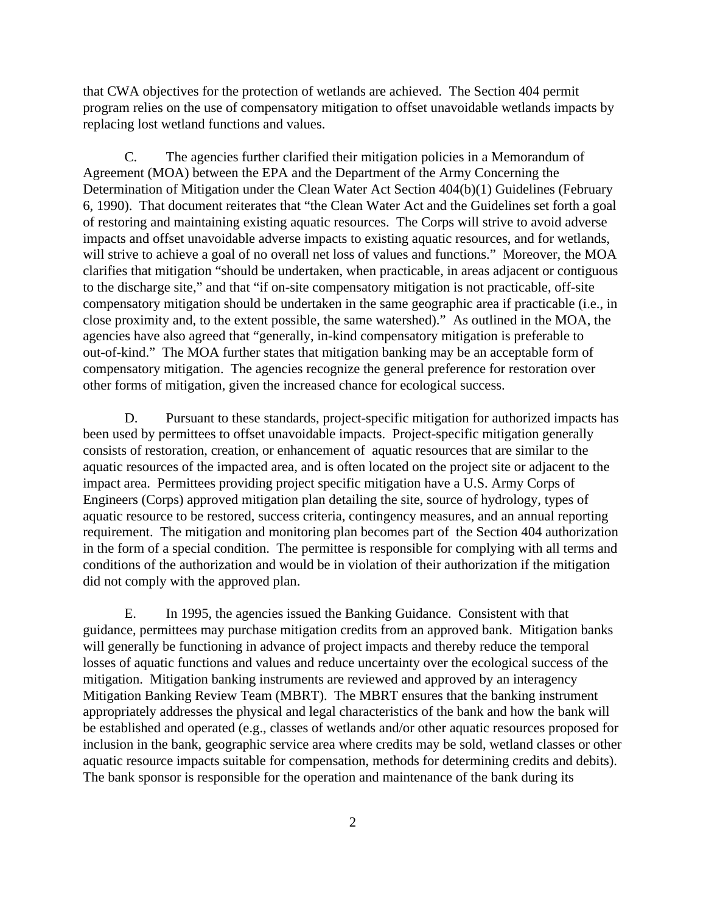that CWA objectives for the protection of wetlands are achieved. The Section 404 permit program relies on the use of compensatory mitigation to offset unavoidable wetlands impacts by replacing lost wetland functions and values.

C. The agencies further clarified their mitigation policies in a Memorandum of Agreement (MOA) between the EPA and the Department of the Army Concerning the Determination of Mitigation under the Clean Water Act Section 404(b)(1) Guidelines (February 6, 1990). That document reiterates that "the Clean Water Act and the Guidelines set forth a goal of restoring and maintaining existing aquatic resources. The Corps will strive to avoid adverse impacts and offset unavoidable adverse impacts to existing aquatic resources, and for wetlands, will strive to achieve a goal of no overall net loss of values and functions." Moreover, the MOA clarifies that mitigation "should be undertaken, when practicable, in areas adjacent or contiguous to the discharge site," and that "if on-site compensatory mitigation is not practicable, off-site compensatory mitigation should be undertaken in the same geographic area if practicable (i.e., in close proximity and, to the extent possible, the same watershed)." As outlined in the MOA, the agencies have also agreed that "generally, in-kind compensatory mitigation is preferable to out-of-kind." The MOA further states that mitigation banking may be an acceptable form of compensatory mitigation. The agencies recognize the general preference for restoration over other forms of mitigation, given the increased chance for ecological success.

D. Pursuant to these standards, project-specific mitigation for authorized impacts has been used by permittees to offset unavoidable impacts. Project-specific mitigation generally consists of restoration, creation, or enhancement of aquatic resources that are similar to the aquatic resources of the impacted area, and is often located on the project site or adjacent to the impact area. Permittees providing project specific mitigation have a U.S. Army Corps of Engineers (Corps) approved mitigation plan detailing the site, source of hydrology, types of aquatic resource to be restored, success criteria, contingency measures, and an annual reporting requirement. The mitigation and monitoring plan becomes part of the Section 404 authorization in the form of a special condition. The permittee is responsible for complying with all terms and conditions of the authorization and would be in violation of their authorization if the mitigation did not comply with the approved plan.

E. In 1995, the agencies issued the Banking Guidance. Consistent with that guidance, permittees may purchase mitigation credits from an approved bank. Mitigation banks will generally be functioning in advance of project impacts and thereby reduce the temporal losses of aquatic functions and values and reduce uncertainty over the ecological success of the mitigation. Mitigation banking instruments are reviewed and approved by an interagency Mitigation Banking Review Team (MBRT). The MBRT ensures that the banking instrument appropriately addresses the physical and legal characteristics of the bank and how the bank will be established and operated (e.g., classes of wetlands and/or other aquatic resources proposed for inclusion in the bank, geographic service area where credits may be sold, wetland classes or other aquatic resource impacts suitable for compensation, methods for determining credits and debits). The bank sponsor is responsible for the operation and maintenance of the bank during its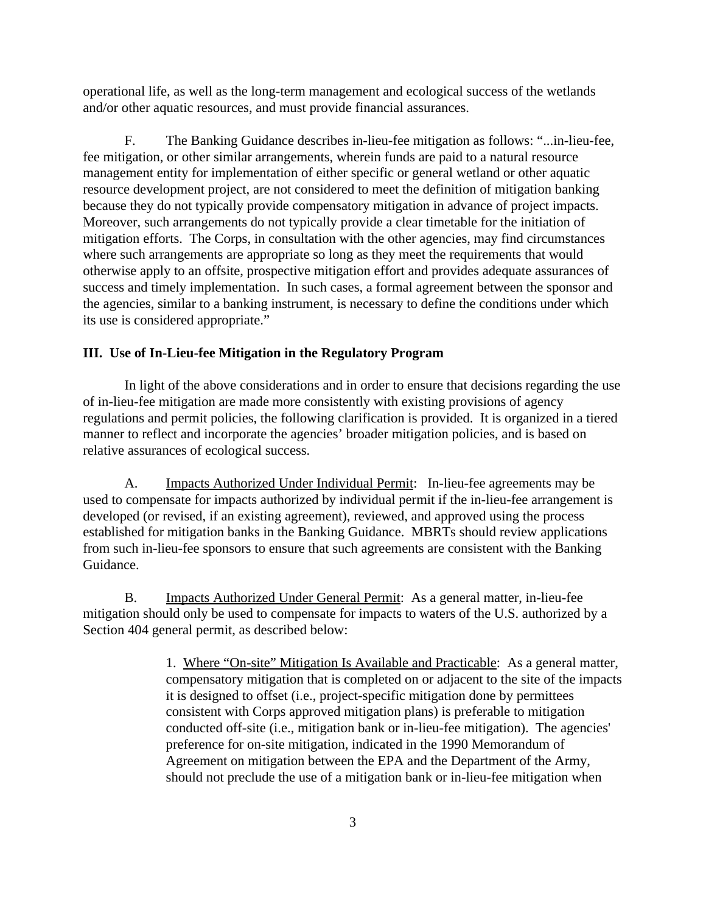operational life, as well as the long-term management and ecological success of the wetlands and/or other aquatic resources, and must provide financial assurances.

F. The Banking Guidance describes in-lieu-fee mitigation as follows: "...in-lieu-fee, fee mitigation, or other similar arrangements, wherein funds are paid to a natural resource management entity for implementation of either specific or general wetland or other aquatic resource development project, are not considered to meet the definition of mitigation banking because they do not typically provide compensatory mitigation in advance of project impacts. Moreover, such arrangements do not typically provide a clear timetable for the initiation of mitigation efforts. The Corps, in consultation with the other agencies, may find circumstances where such arrangements are appropriate so long as they meet the requirements that would otherwise apply to an offsite, prospective mitigation effort and provides adequate assurances of success and timely implementation. In such cases, a formal agreement between the sponsor and the agencies, similar to a banking instrument, is necessary to define the conditions under which its use is considered appropriate."

#### **III. Use of In-Lieu-fee Mitigation in the Regulatory Program**

In light of the above considerations and in order to ensure that decisions regarding the use of in-lieu-fee mitigation are made more consistently with existing provisions of agency regulations and permit policies, the following clarification is provided. It is organized in a tiered manner to reflect and incorporate the agencies' broader mitigation policies, and is based on relative assurances of ecological success.

A. Impacts Authorized Under Individual Permit: In-lieu-fee agreements may be used to compensate for impacts authorized by individual permit if the in-lieu-fee arrangement is developed (or revised, if an existing agreement), reviewed, and approved using the process established for mitigation banks in the Banking Guidance. MBRTs should review applications from such in-lieu-fee sponsors to ensure that such agreements are consistent with the Banking Guidance.

B. Impacts Authorized Under General Permit: As a general matter, in-lieu-fee mitigation should only be used to compensate for impacts to waters of the U.S. authorized by a Section 404 general permit, as described below:

> 1. Where "On-site" Mitigation Is Available and Practicable: As a general matter, compensatory mitigation that is completed on or adjacent to the site of the impacts it is designed to offset (i.e., project-specific mitigation done by permittees consistent with Corps approved mitigation plans) is preferable to mitigation conducted off-site (i.e., mitigation bank or in-lieu-fee mitigation). The agencies' preference for on-site mitigation, indicated in the 1990 Memorandum of Agreement on mitigation between the EPA and the Department of the Army, should not preclude the use of a mitigation bank or in-lieu-fee mitigation when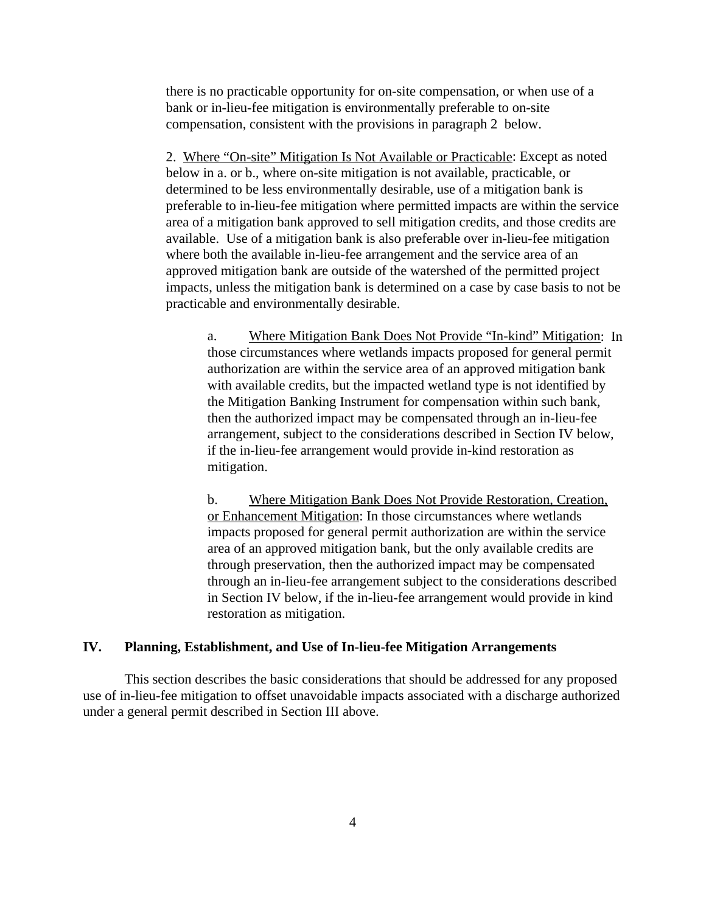there is no practicable opportunity for on-site compensation, or when use of a bank or in-lieu-fee mitigation is environmentally preferable to on-site compensation, consistent with the provisions in paragraph 2 below.

2. Where "On-site" Mitigation Is Not Available or Practicable: Except as noted below in a. or b., where on-site mitigation is not available, practicable, or determined to be less environmentally desirable, use of a mitigation bank is preferable to in-lieu-fee mitigation where permitted impacts are within the service area of a mitigation bank approved to sell mitigation credits, and those credits are available. Use of a mitigation bank is also preferable over in-lieu-fee mitigation where both the available in-lieu-fee arrangement and the service area of an approved mitigation bank are outside of the watershed of the permitted project impacts, unless the mitigation bank is determined on a case by case basis to not be practicable and environmentally desirable.

a. Where Mitigation Bank Does Not Provide "In-kind" Mitigation: In those circumstances where wetlands impacts proposed for general permit authorization are within the service area of an approved mitigation bank with available credits, but the impacted wetland type is not identified by the Mitigation Banking Instrument for compensation within such bank, then the authorized impact may be compensated through an in-lieu-fee arrangement, subject to the considerations described in Section IV below, if the in-lieu-fee arrangement would provide in-kind restoration as mitigation.

b. Where Mitigation Bank Does Not Provide Restoration, Creation, or Enhancement Mitigation: In those circumstances where wetlands impacts proposed for general permit authorization are within the service area of an approved mitigation bank, but the only available credits are through preservation, then the authorized impact may be compensated through an in-lieu-fee arrangement subject to the considerations described in Section IV below, if the in-lieu-fee arrangement would provide in kind restoration as mitigation.

### **IV. Planning, Establishment, and Use of In-lieu-fee Mitigation Arrangements**

This section describes the basic considerations that should be addressed for any proposed use of in-lieu-fee mitigation to offset unavoidable impacts associated with a discharge authorized under a general permit described in Section III above.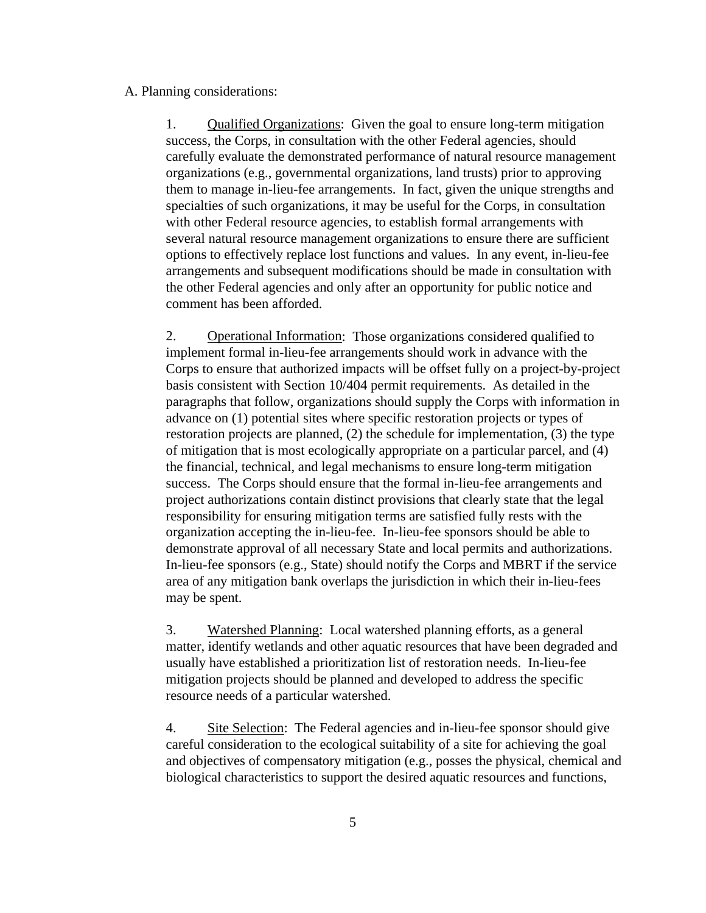#### A. Planning considerations:

1. Qualified Organizations: Given the goal to ensure long-term mitigation success, the Corps, in consultation with the other Federal agencies, should carefully evaluate the demonstrated performance of natural resource management organizations (e.g., governmental organizations, land trusts) prior to approving them to manage in-lieu-fee arrangements. In fact, given the unique strengths and specialties of such organizations, it may be useful for the Corps, in consultation with other Federal resource agencies, to establish formal arrangements with several natural resource management organizations to ensure there are sufficient options to effectively replace lost functions and values. In any event, in-lieu-fee arrangements and subsequent modifications should be made in consultation with the other Federal agencies and only after an opportunity for public notice and comment has been afforded.

2. Operational Information: Those organizations considered qualified to implement formal in-lieu-fee arrangements should work in advance with the Corps to ensure that authorized impacts will be offset fully on a project-by-project basis consistent with Section 10/404 permit requirements. As detailed in the paragraphs that follow, organizations should supply the Corps with information in advance on (1) potential sites where specific restoration projects or types of restoration projects are planned, (2) the schedule for implementation, (3) the type of mitigation that is most ecologically appropriate on a particular parcel, and (4) the financial, technical, and legal mechanisms to ensure long-term mitigation success. The Corps should ensure that the formal in-lieu-fee arrangements and project authorizations contain distinct provisions that clearly state that the legal responsibility for ensuring mitigation terms are satisfied fully rests with the organization accepting the in-lieu-fee. In-lieu-fee sponsors should be able to demonstrate approval of all necessary State and local permits and authorizations. In-lieu-fee sponsors (e.g., State) should notify the Corps and MBRT if the service area of any mitigation bank overlaps the jurisdiction in which their in-lieu-fees may be spent.

3. Watershed Planning: Local watershed planning efforts, as a general matter, identify wetlands and other aquatic resources that have been degraded and usually have established a prioritization list of restoration needs. In-lieu-fee mitigation projects should be planned and developed to address the specific resource needs of a particular watershed.

4. Site Selection: The Federal agencies and in-lieu-fee sponsor should give careful consideration to the ecological suitability of a site for achieving the goal and objectives of compensatory mitigation (e.g., posses the physical, chemical and biological characteristics to support the desired aquatic resources and functions,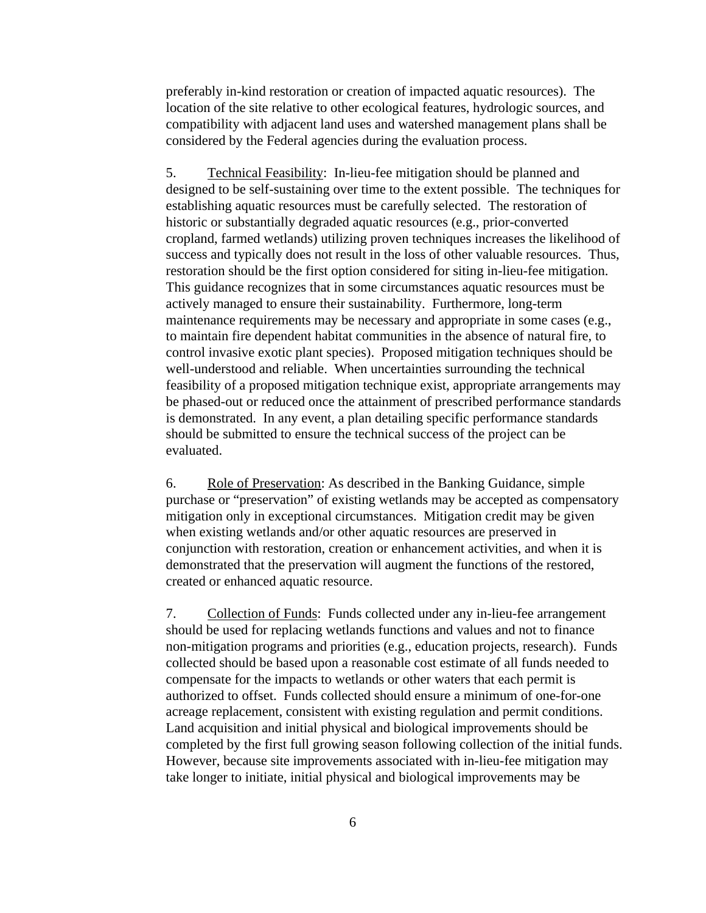preferably in-kind restoration or creation of impacted aquatic resources). The location of the site relative to other ecological features, hydrologic sources, and compatibility with adjacent land uses and watershed management plans shall be considered by the Federal agencies during the evaluation process.

5. Technical Feasibility: In-lieu-fee mitigation should be planned and designed to be self-sustaining over time to the extent possible. The techniques for establishing aquatic resources must be carefully selected. The restoration of historic or substantially degraded aquatic resources (e.g., prior-converted cropland, farmed wetlands) utilizing proven techniques increases the likelihood of success and typically does not result in the loss of other valuable resources. Thus, restoration should be the first option considered for siting in-lieu-fee mitigation. This guidance recognizes that in some circumstances aquatic resources must be actively managed to ensure their sustainability. Furthermore, long-term maintenance requirements may be necessary and appropriate in some cases (e.g., to maintain fire dependent habitat communities in the absence of natural fire, to control invasive exotic plant species). Proposed mitigation techniques should be well-understood and reliable. When uncertainties surrounding the technical feasibility of a proposed mitigation technique exist, appropriate arrangements may be phased-out or reduced once the attainment of prescribed performance standards is demonstrated. In any event, a plan detailing specific performance standards should be submitted to ensure the technical success of the project can be evaluated.

6. Role of Preservation: As described in the Banking Guidance, simple purchase or "preservation" of existing wetlands may be accepted as compensatory mitigation only in exceptional circumstances. Mitigation credit may be given when existing wetlands and/or other aquatic resources are preserved in conjunction with restoration, creation or enhancement activities, and when it is demonstrated that the preservation will augment the functions of the restored, created or enhanced aquatic resource.

7. Collection of Funds: Funds collected under any in-lieu-fee arrangement should be used for replacing wetlands functions and values and not to finance non-mitigation programs and priorities (e.g., education projects, research). Funds collected should be based upon a reasonable cost estimate of all funds needed to compensate for the impacts to wetlands or other waters that each permit is authorized to offset. Funds collected should ensure a minimum of one-for-one acreage replacement, consistent with existing regulation and permit conditions. Land acquisition and initial physical and biological improvements should be completed by the first full growing season following collection of the initial funds. However, because site improvements associated with in-lieu-fee mitigation may take longer to initiate, initial physical and biological improvements may be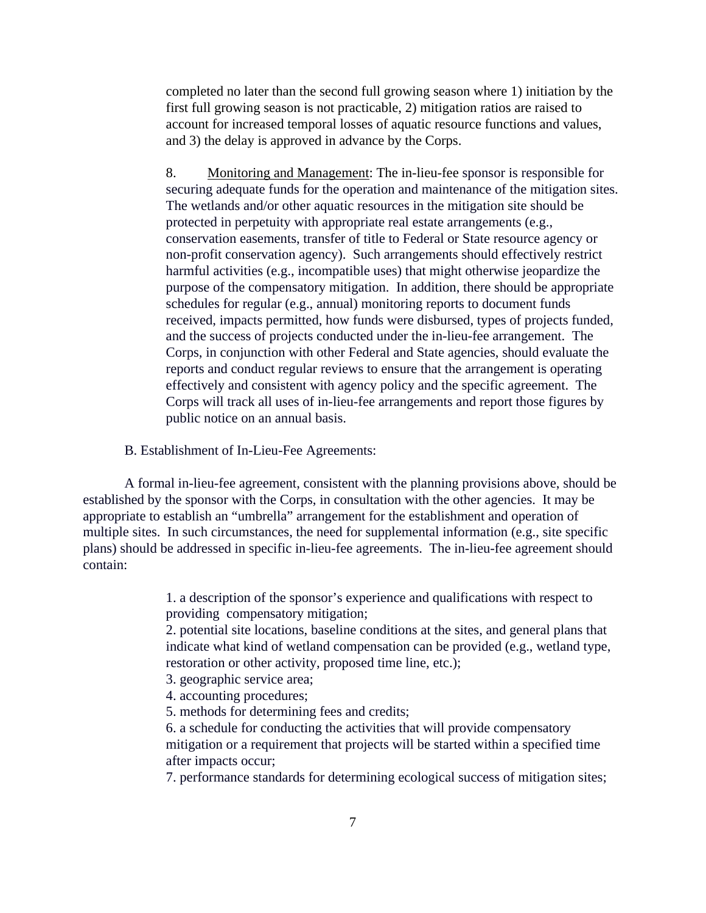completed no later than the second full growing season where 1) initiation by the first full growing season is not practicable, 2) mitigation ratios are raised to account for increased temporal losses of aquatic resource functions and values, and 3) the delay is approved in advance by the Corps.

8. Monitoring and Management: The in-lieu-fee sponsor is responsible for securing adequate funds for the operation and maintenance of the mitigation sites. The wetlands and/or other aquatic resources in the mitigation site should be protected in perpetuity with appropriate real estate arrangements (e.g., conservation easements, transfer of title to Federal or State resource agency or non-profit conservation agency). Such arrangements should effectively restrict harmful activities (e.g., incompatible uses) that might otherwise jeopardize the purpose of the compensatory mitigation. In addition, there should be appropriate schedules for regular (e.g., annual) monitoring reports to document funds received, impacts permitted, how funds were disbursed, types of projects funded, and the success of projects conducted under the in-lieu-fee arrangement. The Corps, in conjunction with other Federal and State agencies, should evaluate the reports and conduct regular reviews to ensure that the arrangement is operating effectively and consistent with agency policy and the specific agreement. The Corps will track all uses of in-lieu-fee arrangements and report those figures by public notice on an annual basis.

B. Establishment of In-Lieu-Fee Agreements:

A formal in-lieu-fee agreement, consistent with the planning provisions above, should be established by the sponsor with the Corps, in consultation with the other agencies. It may be appropriate to establish an "umbrella" arrangement for the establishment and operation of multiple sites. In such circumstances, the need for supplemental information (e.g., site specific plans) should be addressed in specific in-lieu-fee agreements. The in-lieu-fee agreement should contain:

> 1. a description of the sponsor's experience and qualifications with respect to providing compensatory mitigation;

2. potential site locations, baseline conditions at the sites, and general plans that indicate what kind of wetland compensation can be provided (e.g., wetland type, restoration or other activity, proposed time line, etc.);

- 3. geographic service area;
- 4. accounting procedures;
- 5. methods for determining fees and credits;

6. a schedule for conducting the activities that will provide compensatory mitigation or a requirement that projects will be started within a specified time after impacts occur;

7. performance standards for determining ecological success of mitigation sites;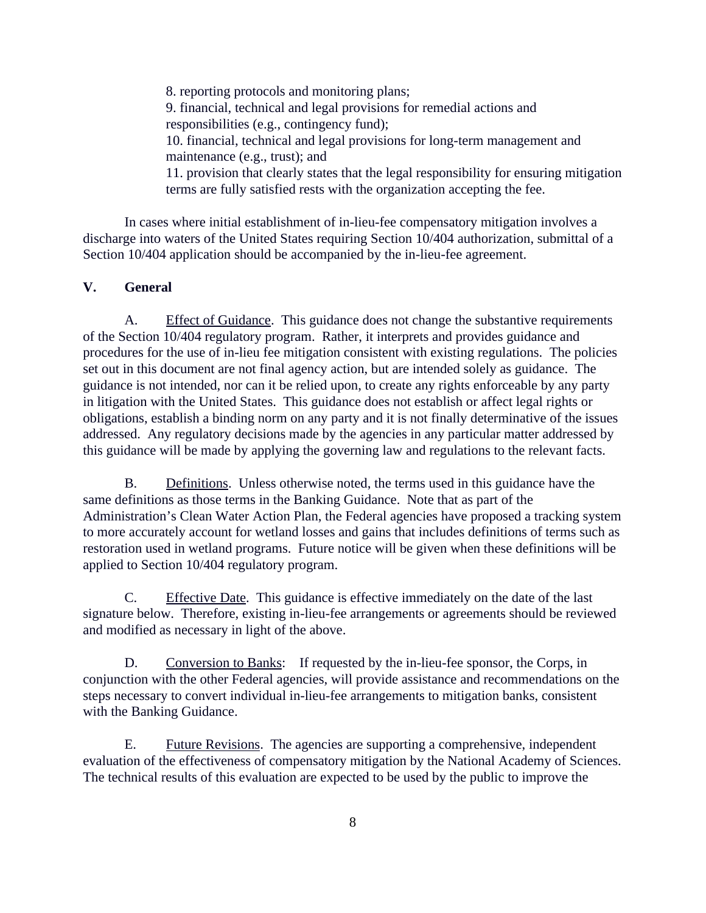8. reporting protocols and monitoring plans; 9. financial, technical and legal provisions for remedial actions and responsibilities (e.g., contingency fund); 10. financial, technical and legal provisions for long-term management and maintenance (e.g., trust); and 11. provision that clearly states that the legal responsibility for ensuring mitigation terms are fully satisfied rests with the organization accepting the fee.

In cases where initial establishment of in-lieu-fee compensatory mitigation involves a discharge into waters of the United States requiring Section 10/404 authorization, submittal of a Section 10/404 application should be accompanied by the in-lieu-fee agreement.

## **V. General**

A. Effect of Guidance. This guidance does not change the substantive requirements of the Section 10/404 regulatory program. Rather, it interprets and provides guidance and procedures for the use of in-lieu fee mitigation consistent with existing regulations. The policies set out in this document are not final agency action, but are intended solely as guidance. The guidance is not intended, nor can it be relied upon, to create any rights enforceable by any party in litigation with the United States. This guidance does not establish or affect legal rights or obligations, establish a binding norm on any party and it is not finally determinative of the issues addressed. Any regulatory decisions made by the agencies in any particular matter addressed by this guidance will be made by applying the governing law and regulations to the relevant facts.

B. Definitions. Unless otherwise noted, the terms used in this guidance have the same definitions as those terms in the Banking Guidance. Note that as part of the Administration's Clean Water Action Plan, the Federal agencies have proposed a tracking system to more accurately account for wetland losses and gains that includes definitions of terms such as restoration used in wetland programs. Future notice will be given when these definitions will be applied to Section 10/404 regulatory program.

C. Effective Date. This guidance is effective immediately on the date of the last signature below. Therefore, existing in-lieu-fee arrangements or agreements should be reviewed and modified as necessary in light of the above.

D. Conversion to Banks: If requested by the in-lieu-fee sponsor, the Corps, in conjunction with the other Federal agencies, will provide assistance and recommendations on the steps necessary to convert individual in-lieu-fee arrangements to mitigation banks, consistent with the Banking Guidance.

E. Future Revisions. The agencies are supporting a comprehensive, independent evaluation of the effectiveness of compensatory mitigation by the National Academy of Sciences. The technical results of this evaluation are expected to be used by the public to improve the